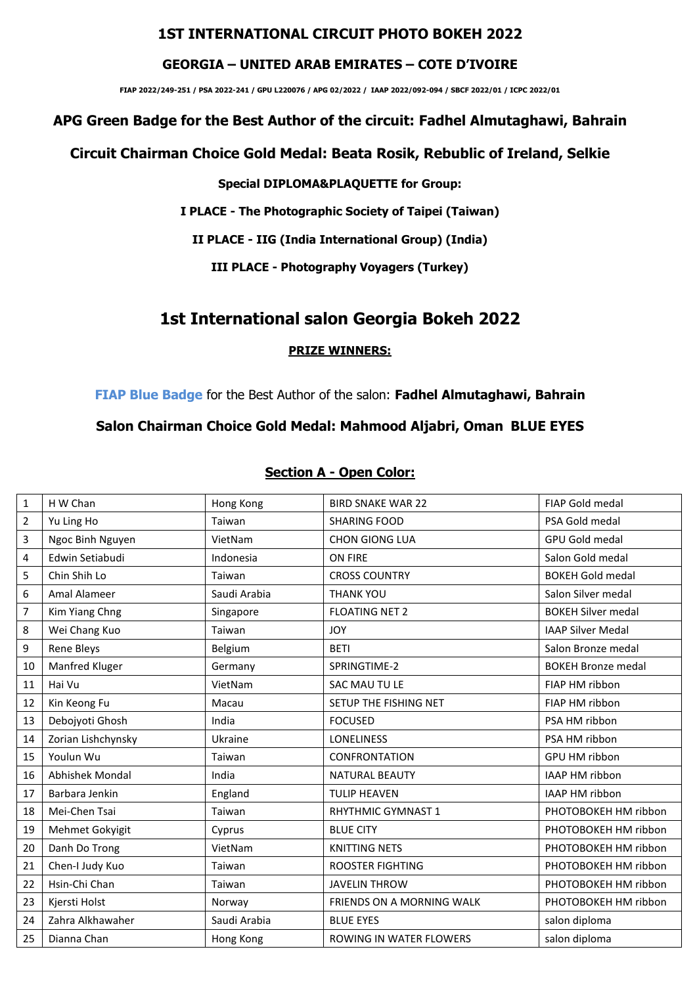## **1ST INTERNATIONAL CIRCUIT PHOTO BOKEH 2022**

#### **GEORGIA – UNITED ARAB EMIRATES – COTE D'IVOIRE**

**FIAP 2022/249-251 / PSA 2022-241 / GPU L220076 / APG 02/2022 / IAAP 2022/092-094 / SBCF 2022/01 / ICPC 2022/01**

## **APG Green Badge for the Best Author of the circuit: Fadhel Almutaghawi, Bahrain**

### **Circuit Chairman Choice Gold Medal: Beata Rosik, Rebublic of Ireland, Selkie**

**Special DIPLOMA&PLAQUETTE for Group:**

**I PLACE - The Photographic Society of Taipei (Taiwan)** 

**II PLACE - IIG (India International Group) (India)**

**III PLACE - Photography Voyagers (Turkey)**

# **1st International salon Georgia Bokeh 2022**

#### **PRIZE WINNERS:**

**FIAP Blue Badge** for the Best Author of the salon: **Fadhel Almutaghawi, Bahrain**

## **Salon Chairman Choice Gold Medal: Mahmood Aljabri, Oman BLUE EYES**

### **Section A - Open Color:**

| $\mathbf{1}$   | H W Chan           | Hong Kong    | <b>BIRD SNAKE WAR 22</b>  | <b>FIAP Gold medal</b>    |
|----------------|--------------------|--------------|---------------------------|---------------------------|
| $\overline{2}$ | Yu Ling Ho         | Taiwan       | <b>SHARING FOOD</b>       | PSA Gold medal            |
| 3              | Ngoc Binh Nguyen   | VietNam      | <b>CHON GIONG LUA</b>     | <b>GPU Gold medal</b>     |
| 4              | Edwin Setiabudi    | Indonesia    | ON FIRE                   | Salon Gold medal          |
| 5              | Chin Shih Lo       | Taiwan       | <b>CROSS COUNTRY</b>      | <b>BOKEH Gold medal</b>   |
| 6              | Amal Alameer       | Saudi Arabia | <b>THANK YOU</b>          | Salon Silver medal        |
| $\overline{7}$ | Kim Yiang Chng     | Singapore    | <b>FLOATING NET 2</b>     | <b>BOKEH Silver medal</b> |
| 8              | Wei Chang Kuo      | Taiwan       | <b>JOY</b>                | <b>IAAP Silver Medal</b>  |
| 9              | Rene Bleys         | Belgium      | <b>BETI</b>               | Salon Bronze medal        |
| 10             | Manfred Kluger     | Germany      | SPRINGTIME-2              | <b>BOKEH Bronze medal</b> |
| 11             | Hai Vu             | VietNam      | SAC MAU TU LE             | FIAP HM ribbon            |
| 12             | Kin Keong Fu       | Macau        | SETUP THE FISHING NET     | FIAP HM ribbon            |
| 13             | Debojyoti Ghosh    | India        | <b>FOCUSED</b>            | PSA HM ribbon             |
| 14             | Zorian Lishchynsky | Ukraine      | <b>LONELINESS</b>         | PSA HM ribbon             |
| 15             | Youlun Wu          | Taiwan       | <b>CONFRONTATION</b>      | GPU HM ribbon             |
| 16             | Abhishek Mondal    | India        | <b>NATURAL BEAUTY</b>     | IAAP HM ribbon            |
| 17             | Barbara Jenkin     | England      | <b>TULIP HEAVEN</b>       | IAAP HM ribbon            |
| 18             | Mei-Chen Tsai      | Taiwan       | RHYTHMIC GYMNAST 1        | PHOTOBOKEH HM ribbon      |
| 19             | Mehmet Gokyigit    | Cyprus       | <b>BLUE CITY</b>          | PHOTOBOKEH HM ribbon      |
| 20             | Danh Do Trong      | VietNam      | <b>KNITTING NETS</b>      | PHOTOBOKEH HM ribbon      |
| 21             | Chen-I Judy Kuo    | Taiwan       | <b>ROOSTER FIGHTING</b>   | PHOTOBOKEH HM ribbon      |
| 22             | Hsin-Chi Chan      | Taiwan       | <b>JAVELIN THROW</b>      | PHOTOBOKEH HM ribbon      |
| 23             | Kjersti Holst      | Norway       | FRIENDS ON A MORNING WALK | PHOTOBOKEH HM ribbon      |
| 24             | Zahra Alkhawaher   | Saudi Arabia | <b>BLUE EYES</b>          | salon diploma             |
| 25             | Dianna Chan        | Hong Kong    | ROWING IN WATER FLOWERS   | salon diploma             |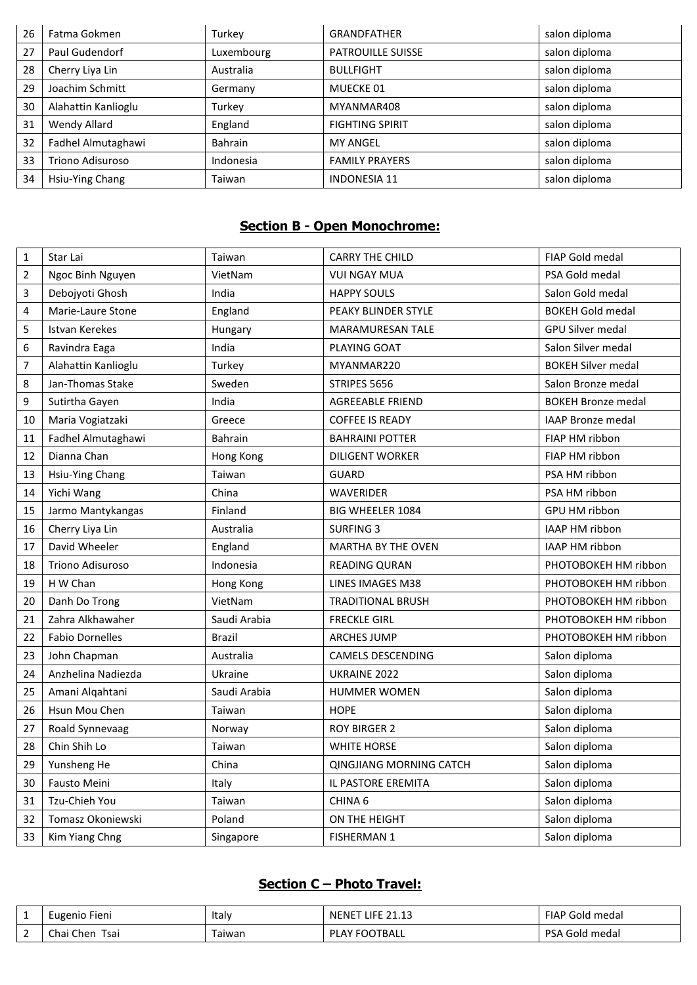| 26 | Fatma Gokmen        | Turkey     | <b>GRANDFATHER</b>       | salon diploma |
|----|---------------------|------------|--------------------------|---------------|
| 27 | Paul Gudendorf      | Luxembourg | <b>PATROUILLE SUISSE</b> | salon diploma |
| 28 | Cherry Liya Lin     | Australia  | <b>BULLFIGHT</b>         | salon diploma |
| 29 | Joachim Schmitt     | Germany    | MUECKE 01                | salon diploma |
| 30 | Alahattin Kanlioglu | Turkey     | MYANMAR408               | salon diploma |
| 31 | <b>Wendy Allard</b> | England    | <b>FIGHTING SPIRIT</b>   | salon diploma |
| 32 | Fadhel Almutaghawi  | Bahrain    | <b>MY ANGEL</b>          | salon diploma |
| 33 | Triono Adisuroso    | Indonesia  | <b>FAMILY PRAYERS</b>    | salon diploma |
| 34 | Hsiu-Ying Chang     | Taiwan     | <b>INDONESIA 11</b>      | salon diploma |

# **Section B - Open Monochrome:**

| 1              | Star Lai               | Taiwan         | <b>CARRY THE CHILD</b>         | FIAP Gold medal           |
|----------------|------------------------|----------------|--------------------------------|---------------------------|
| $\overline{2}$ | Ngoc Binh Nguyen       | VietNam        | <b>VUI NGAY MUA</b>            | PSA Gold medal            |
| 3              | Debojyoti Ghosh        | India          | <b>HAPPY SOULS</b>             | Salon Gold medal          |
| 4              | Marie-Laure Stone      | England        | PEAKY BLINDER STYLE            | <b>BOKEH Gold medal</b>   |
| 5              | Istvan Kerekes         | Hungary        | MARAMURESAN TALE               | <b>GPU Silver medal</b>   |
| 6              | Ravindra Eaga          | India          | PLAYING GOAT                   | Salon Silver medal        |
| 7              | Alahattin Kanlioglu    | Turkey         | MYANMAR220                     | <b>BOKEH Silver medal</b> |
| 8              | Jan-Thomas Stake       | Sweden         | STRIPES 5656                   | Salon Bronze medal        |
| 9              | Sutirtha Gayen         | India          | <b>AGREEABLE FRIEND</b>        | <b>BOKEH Bronze medal</b> |
| 10             | Maria Vogiatzaki       | Greece         | <b>COFFEE IS READY</b>         | <b>IAAP Bronze medal</b>  |
| 11             | Fadhel Almutaghawi     | <b>Bahrain</b> | <b>BAHRAINI POTTER</b>         | FIAP HM ribbon            |
| 12             | Dianna Chan            | Hong Kong      | <b>DILIGENT WORKER</b>         | FIAP HM ribbon            |
| 13             | Hsiu-Ying Chang        | Taiwan         | <b>GUARD</b>                   | PSA HM ribbon             |
| 14             | Yichi Wang             | China          | <b>WAVERIDER</b>               | PSA HM ribbon             |
| 15             | Jarmo Mantykangas      | Finland        | <b>BIG WHEELER 1084</b>        | GPU HM ribbon             |
| 16             | Cherry Liya Lin        | Australia      | <b>SURFING 3</b>               | IAAP HM ribbon            |
| 17             | David Wheeler          | England        | <b>MARTHA BY THE OVEN</b>      | IAAP HM ribbon            |
| 18             | Triono Adisuroso       | Indonesia      | <b>READING QURAN</b>           | PHOTOBOKEH HM ribbon      |
| 19             | H W Chan               | Hong Kong      | LINES IMAGES M38               | PHOTOBOKEH HM ribbon      |
| 20             | Danh Do Trong          | VietNam        | <b>TRADITIONAL BRUSH</b>       | PHOTOBOKEH HM ribbon      |
| 21             | Zahra Alkhawaher       | Saudi Arabia   | <b>FRECKLE GIRL</b>            | PHOTOBOKEH HM ribbon      |
| 22             | <b>Fabio Dornelles</b> | <b>Brazil</b>  | <b>ARCHES JUMP</b>             | PHOTOBOKEH HM ribbon      |
| 23             | John Chapman           | Australia      | <b>CAMELS DESCENDING</b>       | Salon diploma             |
| 24             | Anzhelina Nadiezda     | Ukraine        | UKRAINE 2022                   | Salon diploma             |
| 25             | Amani Alqahtani        | Saudi Arabia   | <b>HUMMER WOMEN</b>            | Salon diploma             |
| 26             | Hsun Mou Chen          | Taiwan         | <b>HOPE</b>                    | Salon diploma             |
| 27             | Roald Synnevaag        | Norway         | <b>ROY BIRGER 2</b>            | Salon diploma             |
| 28             | Chin Shih Lo           | Taiwan         | <b>WHITE HORSE</b>             | Salon diploma             |
| 29             | Yunsheng He            | China          | <b>QINGJIANG MORNING CATCH</b> | Salon diploma             |
| 30             | Fausto Meini           | Italy          | IL PASTORE EREMITA             | Salon diploma             |
| 31             | <b>Tzu-Chieh You</b>   | Taiwan         | CHINA <sub>6</sub>             | Salon diploma             |
| 32             | Tomasz Okoniewski      | Poland         | ON THE HEIGHT                  | Salon diploma             |
| 33             | Kim Yiang Chng         | Singapore      | <b>FISHERMAN 1</b>             | Salon diploma             |

# **Section C – Photo Travel:**

|                               | Eugenio Fieni        | Italy  | LIFE<br>$\mathbf{A}$<br>$\overline{a}$<br>NENET<br>----- | <b>FIAP</b><br>Gold medal |
|-------------------------------|----------------------|--------|----------------------------------------------------------|---------------------------|
| $\overline{\phantom{0}}$<br>- | Chai<br>Tsai<br>Chen | Taiwan | LAY FOOTBALL<br>DГ                                       | <b>PSA</b><br>Gold medal  |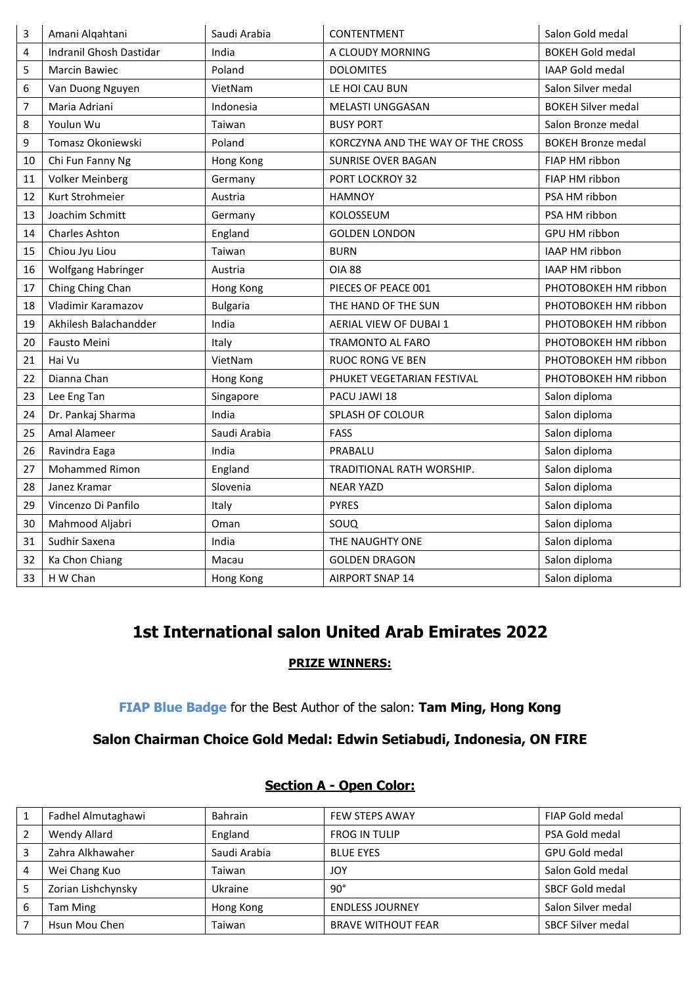| 3  | Amani Alqahtani         | Saudi Arabia    | CONTENTMENT                       | Salon Gold medal          |
|----|-------------------------|-----------------|-----------------------------------|---------------------------|
| 4  | Indranil Ghosh Dastidar | India           | A CLOUDY MORNING                  | <b>BOKEH Gold medal</b>   |
| 5  | Marcin Bawiec           | Poland          | <b>DOLOMITES</b>                  | IAAP Gold medal           |
| 6  | Van Duong Nguyen        | VietNam         | LE HOI CAU BUN                    | Salon Silver medal        |
| 7  | Maria Adriani           | Indonesia       | <b>MELASTI UNGGASAN</b>           | <b>BOKEH Silver medal</b> |
| 8  | Youlun Wu               | Taiwan          | <b>BUSY PORT</b>                  | Salon Bronze medal        |
| 9  | Tomasz Okoniewski       | Poland          | KORCZYNA AND THE WAY OF THE CROSS | <b>BOKEH Bronze medal</b> |
| 10 | Chi Fun Fanny Ng        | Hong Kong       | SUNRISE OVER BAGAN                | FIAP HM ribbon            |
| 11 | <b>Volker Meinberg</b>  | Germany         | PORT LOCKROY 32                   | FIAP HM ribbon            |
| 12 | Kurt Strohmeier         | Austria         | <b>HAMNOY</b>                     | PSA HM ribbon             |
| 13 | Joachim Schmitt         | Germany         | KOLOSSEUM                         | PSA HM ribbon             |
| 14 | <b>Charles Ashton</b>   | England         | <b>GOLDEN LONDON</b>              | GPU HM ribbon             |
| 15 | Chiou Jyu Liou          | Taiwan          | <b>BURN</b>                       | IAAP HM ribbon            |
| 16 | Wolfgang Habringer      | Austria         | <b>OIA 88</b>                     | IAAP HM ribbon            |
| 17 | Ching Ching Chan        | Hong Kong       | PIECES OF PEACE 001               | PHOTOBOKEH HM ribbon      |
| 18 | Vladimir Karamazov      | <b>Bulgaria</b> | THE HAND OF THE SUN               | PHOTOBOKEH HM ribbon      |
| 19 | Akhilesh Balachandder   | India           | AERIAL VIEW OF DUBAI 1            | PHOTOBOKEH HM ribbon      |
| 20 | Fausto Meini            | Italy           | <b>TRAMONTO AL FARO</b>           | PHOTOBOKEH HM ribbon      |
| 21 | Hai Vu                  | VietNam         | <b>RUOC RONG VE BEN</b>           | PHOTOBOKEH HM ribbon      |
| 22 | Dianna Chan             | Hong Kong       | PHUKET VEGETARIAN FESTIVAL        | PHOTOBOKEH HM ribbon      |
| 23 | Lee Eng Tan             | Singapore       | PACU JAWI 18                      | Salon diploma             |
| 24 | Dr. Pankaj Sharma       | India           | SPLASH OF COLOUR                  | Salon diploma             |
| 25 | Amal Alameer            | Saudi Arabia    | FASS                              | Salon diploma             |
| 26 | Ravindra Eaga           | India           | PRABALU                           | Salon diploma             |
| 27 | Mohammed Rimon          | England         | TRADITIONAL RATH WORSHIP.         | Salon diploma             |
| 28 | Janez Kramar            | Slovenia        | <b>NEAR YAZD</b>                  | Salon diploma             |
| 29 | Vincenzo Di Panfilo     | Italy           | <b>PYRES</b>                      | Salon diploma             |
| 30 | Mahmood Aljabri         | Oman            | SOUQ                              | Salon diploma             |
| 31 | Sudhir Saxena           | India           | THE NAUGHTY ONE                   | Salon diploma             |
| 32 | Ka Chon Chiang          | Macau           | <b>GOLDEN DRAGON</b>              | Salon diploma             |
| 33 | H W Chan                | Hong Kong       | <b>AIRPORT SNAP 14</b>            | Salon diploma             |

# **1st International salon United Arab Emirates 2022**

### **PRIZE WINNERS:**

## **FIAP Blue Badge** for the Best Author of the salon: **Tam Ming, Hong Kong**

# **Salon Chairman Choice Gold Medal: Edwin Setiabudi, Indonesia, ON FIRE**

|   | Fadhel Almutaghawi | <b>Bahrain</b> | <b>FEW STEPS AWAY</b>     | FIAP Gold medal          |
|---|--------------------|----------------|---------------------------|--------------------------|
|   | Wendy Allard       | England        | <b>FROG IN TULIP</b>      | PSA Gold medal           |
|   | Zahra Alkhawaher   | Saudi Arabia   | <b>BLUE EYES</b>          | <b>GPU Gold medal</b>    |
|   | Wei Chang Kuo      | Taiwan         | JOY                       | Salon Gold medal         |
| 5 | Zorian Lishchynsky | Ukraine        | $90^{\circ}$              | <b>SBCF Gold medal</b>   |
| 6 | Tam Ming           | Hong Kong      | <b>ENDLESS JOURNEY</b>    | Salon Silver medal       |
|   | Hsun Mou Chen      | Taiwan         | <b>BRAVE WITHOUT FEAR</b> | <b>SBCF Silver medal</b> |

#### **Section A - Open Color:**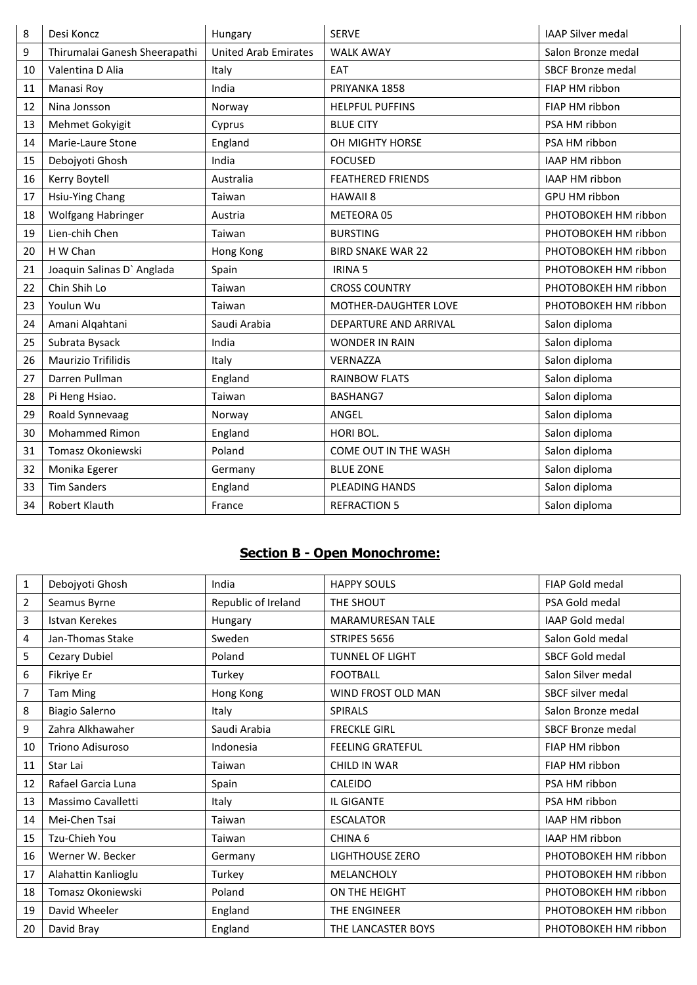| 8  | Desi Koncz                    | Hungary                     | <b>SERVE</b>                | <b>IAAP Silver medal</b> |
|----|-------------------------------|-----------------------------|-----------------------------|--------------------------|
| 9  | Thirumalai Ganesh Sheerapathi | <b>United Arab Emirates</b> | <b>WALK AWAY</b>            | Salon Bronze medal       |
| 10 | Valentina D Alia              | Italy                       | EAT                         | <b>SBCF Bronze medal</b> |
| 11 | Manasi Roy                    | India                       | PRIYANKA 1858               | FIAP HM ribbon           |
| 12 | Nina Jonsson                  | Norway                      | <b>HELPFUL PUFFINS</b>      | FIAP HM ribbon           |
| 13 | Mehmet Gokyigit               | Cyprus                      | <b>BLUE CITY</b>            | PSA HM ribbon            |
| 14 | Marie-Laure Stone             | England                     | OH MIGHTY HORSE             | PSA HM ribbon            |
| 15 | Debojyoti Ghosh               | India                       | <b>FOCUSED</b>              | IAAP HM ribbon           |
| 16 | Kerry Boytell                 | Australia                   | <b>FEATHERED FRIENDS</b>    | IAAP HM ribbon           |
| 17 | Hsiu-Ying Chang               | Taiwan                      | <b>HAWAII 8</b>             | GPU HM ribbon            |
| 18 | Wolfgang Habringer            | Austria                     | METEORA 05                  | PHOTOBOKEH HM ribbon     |
| 19 | Lien-chih Chen                | Taiwan                      | <b>BURSTING</b>             | PHOTOBOKEH HM ribbon     |
| 20 | H W Chan                      | Hong Kong                   | <b>BIRD SNAKE WAR 22</b>    | PHOTOBOKEH HM ribbon     |
| 21 | Joaquin Salinas D' Anglada    | Spain                       | <b>IRINA 5</b>              | PHOTOBOKEH HM ribbon     |
| 22 | Chin Shih Lo                  | Taiwan                      | <b>CROSS COUNTRY</b>        | PHOTOBOKEH HM ribbon     |
| 23 | Youlun Wu                     | Taiwan                      | <b>MOTHER-DAUGHTER LOVE</b> | PHOTOBOKEH HM ribbon     |
| 24 | Amani Alqahtani               | Saudi Arabia                | DEPARTURE AND ARRIVAL       | Salon diploma            |
| 25 | Subrata Bysack                | India                       | <b>WONDER IN RAIN</b>       | Salon diploma            |
| 26 | <b>Maurizio Trifilidis</b>    | Italy                       | <b>VERNAZZA</b>             | Salon diploma            |
| 27 | Darren Pullman                | England                     | <b>RAINBOW FLATS</b>        | Salon diploma            |
| 28 | Pi Heng Hsiao.                | Taiwan                      | BASHANG7                    | Salon diploma            |
| 29 | Roald Synnevaag               | Norway                      | ANGEL                       | Salon diploma            |
| 30 | <b>Mohammed Rimon</b>         | England                     | HORI BOL.                   | Salon diploma            |
| 31 | Tomasz Okoniewski             | Poland                      | COME OUT IN THE WASH        | Salon diploma            |
| 32 | Monika Egerer                 | Germany                     | <b>BLUE ZONE</b>            | Salon diploma            |
| 33 | <b>Tim Sanders</b>            | England                     | <b>PLEADING HANDS</b>       | Salon diploma            |
| 34 | Robert Klauth                 | France                      | <b>REFRACTION 5</b>         | Salon diploma            |

# **Section B - Open Monochrome:**

| $\mathbf{1}$   | Debojyoti Ghosh       | India               | <b>HAPPY SOULS</b>        | <b>FIAP Gold medal</b>   |
|----------------|-----------------------|---------------------|---------------------------|--------------------------|
| $\overline{2}$ | Seamus Byrne          | Republic of Ireland | THE SHOUT                 | PSA Gold medal           |
| 3              | Istvan Kerekes        | Hungary             | <b>MARAMURESAN TALE</b>   | IAAP Gold medal          |
| 4              | Jan-Thomas Stake      | Sweden              | STRIPES 5656              | Salon Gold medal         |
| 5              | Cezary Dubiel         | Poland              | <b>TUNNEL OF LIGHT</b>    | <b>SBCF Gold medal</b>   |
| 6              | Fikriye Er            | Turkey              | <b>FOOTBALL</b>           | Salon Silver medal       |
| 7              | <b>Tam Ming</b>       | Hong Kong           | <b>WIND FROST OLD MAN</b> | <b>SBCF silver medal</b> |
| 8              | <b>Biagio Salerno</b> | Italy               | <b>SPIRALS</b>            | Salon Bronze medal       |
| 9              | Zahra Alkhawaher      | Saudi Arabia        | <b>FRECKLE GIRL</b>       | <b>SBCF Bronze medal</b> |
| 10             | Triono Adisuroso      | Indonesia           | <b>FEELING GRATEFUL</b>   | FIAP HM ribbon           |
| 11             | Star Lai              | Taiwan              | <b>CHILD IN WAR</b>       | FIAP HM ribbon           |
| 12             | Rafael Garcia Luna    | Spain               | CALEIDO                   | PSA HM ribbon            |
| 13             | Massimo Cavalletti    | Italy               | IL GIGANTE                | PSA HM ribbon            |
| 14             | Mei-Chen Tsai         | Taiwan              | <b>ESCALATOR</b>          | <b>IAAP HM ribbon</b>    |
| 15             | Tzu-Chieh You         | Taiwan              | CHINA <sub>6</sub>        | <b>IAAP HM ribbon</b>    |
| 16             | Werner W. Becker      | Germany             | <b>LIGHTHOUSE ZERO</b>    | PHOTOBOKEH HM ribbon     |
| 17             | Alahattin Kanlioglu   | Turkey              | MELANCHOLY                | PHOTOBOKEH HM ribbon     |
| 18             | Tomasz Okoniewski     | Poland              | ON THE HEIGHT             | PHOTOBOKEH HM ribbon     |
| 19             | David Wheeler         | England             | THE ENGINEER              | PHOTOBOKEH HM ribbon     |
| 20             | David Bray            | England             | THE LANCASTER BOYS        | PHOTOBOKEH HM ribbon     |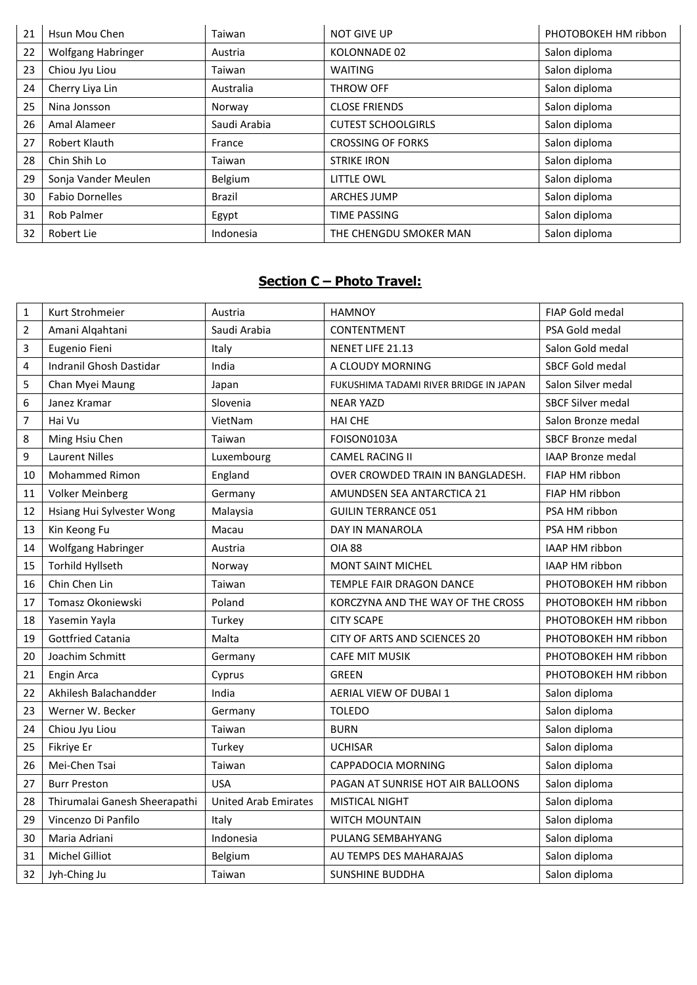| 21 | Hsun Mou Chen          | Taiwan       | <b>NOT GIVE UP</b>        | PHOTOBOKEH HM ribbon |
|----|------------------------|--------------|---------------------------|----------------------|
| 22 | Wolfgang Habringer     | Austria      | KOLONNADE 02              | Salon diploma        |
| 23 | Chiou Jyu Liou         | Taiwan       | <b>WAITING</b>            | Salon diploma        |
| 24 | Cherry Liya Lin        | Australia    | <b>THROW OFF</b>          | Salon diploma        |
| 25 | Nina Jonsson           | Norway       | <b>CLOSE FRIENDS</b>      | Salon diploma        |
| 26 | Amal Alameer           | Saudi Arabia | <b>CUTEST SCHOOLGIRLS</b> | Salon diploma        |
| 27 | Robert Klauth          | France       | <b>CROSSING OF FORKS</b>  | Salon diploma        |
| 28 | Chin Shih Lo           | Taiwan       | <b>STRIKE IRON</b>        | Salon diploma        |
| 29 | Sonja Vander Meulen    | Belgium      | LITTLE OWL                | Salon diploma        |
| 30 | <b>Fabio Dornelles</b> | Brazil       | <b>ARCHES JUMP</b>        | Salon diploma        |
| 31 | <b>Rob Palmer</b>      | Egypt        | <b>TIME PASSING</b>       | Salon diploma        |
| 32 | Robert Lie             | Indonesia    | THE CHENGDU SMOKER MAN    | Salon diploma        |

# **Section C – Photo Travel:**

| $\mathbf{1}$   | Kurt Strohmeier               | Austria                     | <b>HAMNOY</b>                          | <b>FIAP Gold medal</b>   |
|----------------|-------------------------------|-----------------------------|----------------------------------------|--------------------------|
| $\overline{2}$ | Amani Algahtani               | Saudi Arabia                | CONTENTMENT                            | PSA Gold medal           |
| 3              | Eugenio Fieni                 | Italy                       | NENET LIFE 21.13                       | Salon Gold medal         |
| 4              | Indranil Ghosh Dastidar       | India                       | A CLOUDY MORNING                       | SBCF Gold medal          |
| 5              | Chan Myei Maung               | Japan                       | FUKUSHIMA TADAMI RIVER BRIDGE IN JAPAN | Salon Silver medal       |
| 6              | Janez Kramar                  | Slovenia                    | <b>NEAR YAZD</b>                       | <b>SBCF Silver medal</b> |
| $\overline{7}$ | Hai Vu                        | VietNam                     | <b>HAI CHE</b>                         | Salon Bronze medal       |
| 8              | Ming Hsiu Chen                | Taiwan                      | FOISON0103A                            | <b>SBCF Bronze medal</b> |
| 9              | <b>Laurent Nilles</b>         | Luxembourg                  | <b>CAMEL RACING II</b>                 | <b>IAAP Bronze medal</b> |
| 10             | <b>Mohammed Rimon</b>         | England                     | OVER CROWDED TRAIN IN BANGLADESH.      | FIAP HM ribbon           |
| 11             | <b>Volker Meinberg</b>        | Germany                     | AMUNDSEN SEA ANTARCTICA 21             | FIAP HM ribbon           |
| 12             | Hsiang Hui Sylvester Wong     | Malaysia                    | <b>GUILIN TERRANCE 051</b>             | PSA HM ribbon            |
| 13             | Kin Keong Fu                  | Macau                       | DAY IN MANAROLA                        | PSA HM ribbon            |
| 14             | Wolfgang Habringer            | Austria                     | <b>OIA 88</b>                          | IAAP HM ribbon           |
| 15             | Torhild Hyllseth              | Norway                      | MONT SAINT MICHEL                      | IAAP HM ribbon           |
| 16             | Chin Chen Lin                 | Taiwan                      | TEMPLE FAIR DRAGON DANCE               | PHOTOBOKEH HM ribbon     |
| 17             | Tomasz Okoniewski             | Poland                      | KORCZYNA AND THE WAY OF THE CROSS      | PHOTOBOKEH HM ribbon     |
| 18             | Yasemin Yayla                 | Turkey                      | <b>CITY SCAPE</b>                      | PHOTOBOKEH HM ribbon     |
| 19             | <b>Gottfried Catania</b>      | Malta                       | CITY OF ARTS AND SCIENCES 20           | PHOTOBOKEH HM ribbon     |
| 20             | Joachim Schmitt               | Germany                     | <b>CAFE MIT MUSIK</b>                  | PHOTOBOKEH HM ribbon     |
| 21             | Engin Arca                    | Cyprus                      | <b>GREEN</b>                           | PHOTOBOKEH HM ribbon     |
| 22             | Akhilesh Balachandder         | India                       | AERIAL VIEW OF DUBAI 1                 | Salon diploma            |
| 23             | Werner W. Becker              | Germany                     | <b>TOLEDO</b>                          | Salon diploma            |
| 24             | Chiou Jyu Liou                | Taiwan                      | <b>BURN</b>                            | Salon diploma            |
| 25             | Fikriye Er                    | Turkey                      | <b>UCHISAR</b>                         | Salon diploma            |
| 26             | Mei-Chen Tsai                 | Taiwan                      | CAPPADOCIA MORNING                     | Salon diploma            |
| 27             | <b>Burr Preston</b>           | <b>USA</b>                  | PAGAN AT SUNRISE HOT AIR BALLOONS      | Salon diploma            |
| 28             | Thirumalai Ganesh Sheerapathi | <b>United Arab Emirates</b> | MISTICAL NIGHT                         | Salon diploma            |
| 29             | Vincenzo Di Panfilo           | Italy                       | <b>WITCH MOUNTAIN</b>                  | Salon diploma            |
| 30             | Maria Adriani                 | Indonesia                   | PULANG SEMBAHYANG                      | Salon diploma            |
| 31             | Michel Gilliot                | Belgium                     | AU TEMPS DES MAHARAJAS                 | Salon diploma            |
| 32             | Jyh-Ching Ju                  | Taiwan                      | SUNSHINE BUDDHA                        | Salon diploma            |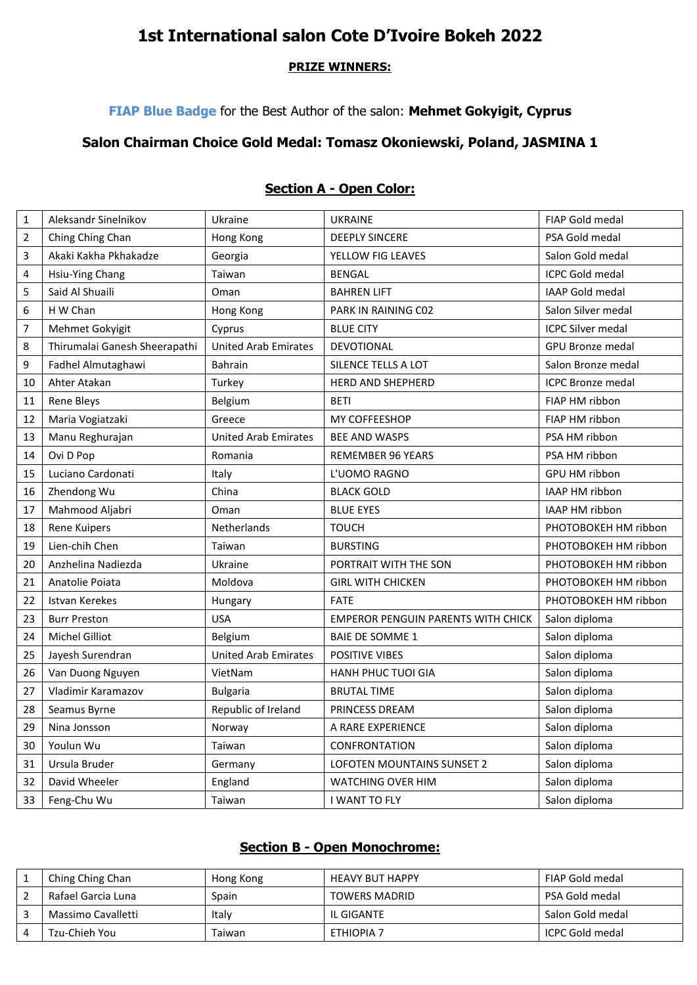# **1st International salon Cote D'Ivoire Bokeh 2022**

#### **PRIZE WINNERS:**

## **FIAP Blue Badge** for the Best Author of the salon: **Mehmet Gokyigit, Cyprus**

## **Salon Chairman Choice Gold Medal: Tomasz Okoniewski, Poland, JASMINA 1**

| $\mathbf{1}$   | Aleksandr Sinelnikov          | Ukraine                     | <b>UKRAINE</b>                            | <b>FIAP Gold medal</b>   |
|----------------|-------------------------------|-----------------------------|-------------------------------------------|--------------------------|
| $\overline{2}$ | Ching Ching Chan              | Hong Kong                   | <b>DEEPLY SINCERE</b>                     | PSA Gold medal           |
| 3              | Akaki Kakha Pkhakadze         | Georgia                     | YELLOW FIG LEAVES                         | Salon Gold medal         |
| 4              | Hsiu-Ying Chang               | Taiwan                      | <b>BENGAL</b>                             | <b>ICPC Gold medal</b>   |
| 5              | Said Al Shuaili               | Oman                        | <b>BAHREN LIFT</b>                        | IAAP Gold medal          |
| 6              | H W Chan                      | Hong Kong                   | PARK IN RAINING C02                       | Salon Silver medal       |
| $\overline{7}$ | Mehmet Gokyigit               | Cyprus                      | <b>BLUE CITY</b>                          | <b>ICPC Silver medal</b> |
| 8              | Thirumalai Ganesh Sheerapathi | <b>United Arab Emirates</b> | DEVOTIONAL                                | <b>GPU Bronze medal</b>  |
| 9              | Fadhel Almutaghawi            | <b>Bahrain</b>              | SILENCE TELLS A LOT                       | Salon Bronze medal       |
| 10             | Ahter Atakan                  | Turkey                      | <b>HERD AND SHEPHERD</b>                  | <b>ICPC Bronze medal</b> |
| 11             | <b>Rene Bleys</b>             | Belgium                     | <b>BETI</b>                               | FIAP HM ribbon           |
| 12             | Maria Vogiatzaki              | Greece                      | <b>MY COFFEESHOP</b>                      | FIAP HM ribbon           |
| 13             | Manu Reghurajan               | <b>United Arab Emirates</b> | <b>BEE AND WASPS</b>                      | PSA HM ribbon            |
| 14             | Ovi D Pop                     | Romania                     | <b>REMEMBER 96 YEARS</b>                  | PSA HM ribbon            |
| 15             | Luciano Cardonati             | Italy                       | L'UOMO RAGNO                              | <b>GPU HM ribbon</b>     |
| 16             | Zhendong Wu                   | China                       | <b>BLACK GOLD</b>                         | IAAP HM ribbon           |
| 17             | Mahmood Aljabri               | Oman                        | <b>BLUE EYES</b>                          | IAAP HM ribbon           |
| 18             | <b>Rene Kuipers</b>           | Netherlands                 | <b>TOUCH</b>                              | PHOTOBOKEH HM ribbon     |
| 19             | Lien-chih Chen                | Taiwan                      | <b>BURSTING</b>                           | PHOTOBOKEH HM ribbon     |
| 20             | Anzhelina Nadiezda            | Ukraine                     | PORTRAIT WITH THE SON                     | PHOTOBOKEH HM ribbon     |
| 21             | Anatolie Poiata               | Moldova                     | <b>GIRL WITH CHICKEN</b>                  | PHOTOBOKEH HM ribbon     |
| 22             | Istvan Kerekes                | Hungary                     | <b>FATE</b>                               | PHOTOBOKEH HM ribbon     |
| 23             | <b>Burr Preston</b>           | <b>USA</b>                  | <b>EMPEROR PENGUIN PARENTS WITH CHICK</b> | Salon diploma            |
| 24             | <b>Michel Gilliot</b>         | Belgium                     | <b>BAIE DE SOMME 1</b>                    | Salon diploma            |
| 25             | Jayesh Surendran              | <b>United Arab Emirates</b> | <b>POSITIVE VIBES</b>                     | Salon diploma            |
| 26             | Van Duong Nguyen              | VietNam                     | <b>HANH PHUC TUOI GIA</b>                 | Salon diploma            |
| 27             | Vladimir Karamazov            | <b>Bulgaria</b>             | <b>BRUTAL TIME</b>                        | Salon diploma            |
| 28             | Seamus Byrne                  | Republic of Ireland         | PRINCESS DREAM                            | Salon diploma            |
| 29             | Nina Jonsson                  | Norway                      | A RARE EXPERIENCE                         | Salon diploma            |
| 30             | Youlun Wu                     | Taiwan                      | CONFRONTATION                             | Salon diploma            |
| 31             | Ursula Bruder                 | Germany                     | LOFOTEN MOUNTAINS SUNSET 2                | Salon diploma            |
| 32             | David Wheeler                 | England                     | <b>WATCHING OVER HIM</b>                  | Salon diploma            |
| 33             | Feng-Chu Wu                   | Taiwan                      | I WANT TO FLY                             | Salon diploma            |

### **Section A - Open Color:**

#### **Section B - Open Monochrome:**

| Ching Ching Chan   | Hong Kong | <b>HEAVY BUT HAPPY</b> | FIAP Gold medal  |
|--------------------|-----------|------------------------|------------------|
| Rafael Garcia Luna | Spain     | <b>TOWERS MADRID</b>   | PSA Gold medal   |
| Massimo Cavalletti | Italy     | IL GIGANTE             | Salon Gold medal |
| Tzu-Chieh You      | Taiwan    | ETHIOPIA 7             | ICPC Gold medal  |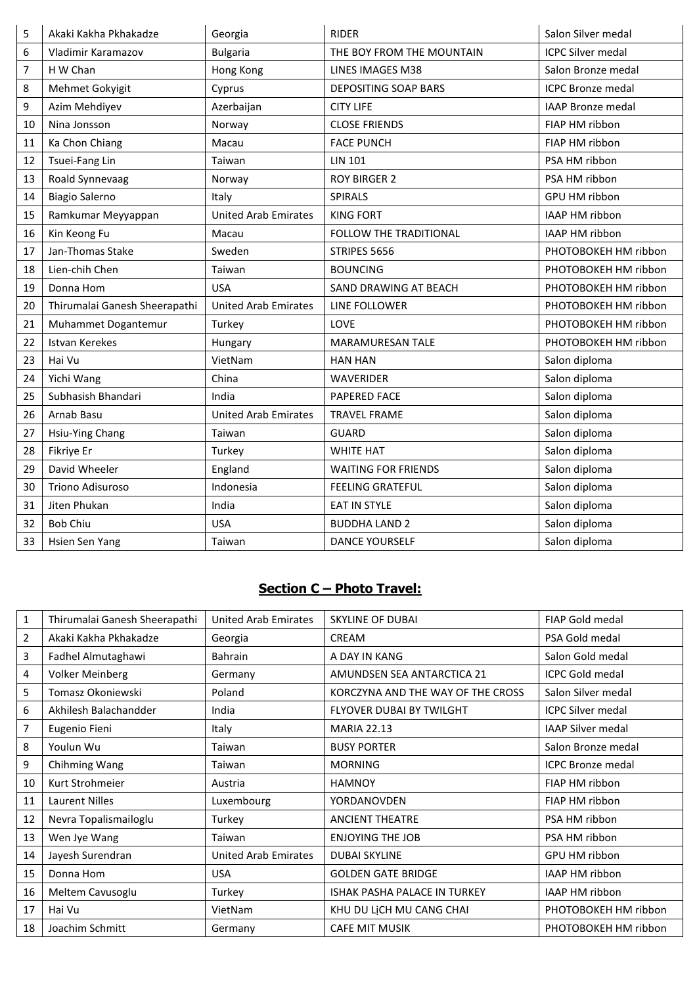| 5  | Akaki Kakha Pkhakadze         | Georgia                     | <b>RIDER</b>                | Salon Silver medal       |
|----|-------------------------------|-----------------------------|-----------------------------|--------------------------|
| 6  | Vladimir Karamazov            | <b>Bulgaria</b>             | THE BOY FROM THE MOUNTAIN   | <b>ICPC Silver medal</b> |
| 7  | H W Chan                      | Hong Kong                   | <b>LINES IMAGES M38</b>     | Salon Bronze medal       |
| 8  | Mehmet Gokyigit               | Cyprus                      | <b>DEPOSITING SOAP BARS</b> | <b>ICPC Bronze medal</b> |
| 9  | Azim Mehdiyev                 | Azerbaijan                  | <b>CITY LIFE</b>            | <b>IAAP Bronze medal</b> |
| 10 | Nina Jonsson                  | Norway                      | <b>CLOSE FRIENDS</b>        | FIAP HM ribbon           |
| 11 | Ka Chon Chiang                | Macau                       | <b>FACE PUNCH</b>           | FIAP HM ribbon           |
| 12 | Tsuei-Fang Lin                | Taiwan                      | <b>LIN 101</b>              | PSA HM ribbon            |
| 13 | Roald Synnevaag               | Norway                      | <b>ROY BIRGER 2</b>         | PSA HM ribbon            |
| 14 | <b>Biagio Salerno</b>         | Italy                       | SPIRALS                     | GPU HM ribbon            |
| 15 | Ramkumar Meyyappan            | <b>United Arab Emirates</b> | <b>KING FORT</b>            | IAAP HM ribbon           |
| 16 | Kin Keong Fu                  | Macau                       | FOLLOW THE TRADITIONAL      | IAAP HM ribbon           |
| 17 | Jan-Thomas Stake              | Sweden                      | STRIPES 5656                | PHOTOBOKEH HM ribbon     |
| 18 | Lien-chih Chen                | Taiwan                      | <b>BOUNCING</b>             | PHOTOBOKEH HM ribbon     |
| 19 | Donna Hom                     | <b>USA</b>                  | SAND DRAWING AT BEACH       | PHOTOBOKEH HM ribbon     |
| 20 | Thirumalai Ganesh Sheerapathi | <b>United Arab Emirates</b> | LINE FOLLOWER               | PHOTOBOKEH HM ribbon     |
| 21 | Muhammet Dogantemur           | Turkey                      | LOVE                        | PHOTOBOKEH HM ribbon     |
| 22 | <b>Istvan Kerekes</b>         | Hungary                     | <b>MARAMURESAN TALE</b>     | PHOTOBOKEH HM ribbon     |
| 23 | Hai Vu                        | VietNam                     | <b>HAN HAN</b>              | Salon diploma            |
| 24 | Yichi Wang                    | China                       | <b>WAVERIDER</b>            | Salon diploma            |
| 25 | Subhasish Bhandari            | India                       | <b>PAPERED FACE</b>         | Salon diploma            |
| 26 | Arnab Basu                    | <b>United Arab Emirates</b> | <b>TRAVEL FRAME</b>         | Salon diploma            |
| 27 | Hsiu-Ying Chang               | Taiwan                      | <b>GUARD</b>                | Salon diploma            |
| 28 | Fikriye Er                    | Turkey                      | <b>WHITE HAT</b>            | Salon diploma            |
| 29 | David Wheeler                 | England                     | <b>WAITING FOR FRIENDS</b>  | Salon diploma            |
| 30 | Triono Adisuroso              | Indonesia                   | <b>FEELING GRATEFUL</b>     | Salon diploma            |
| 31 | Jiten Phukan                  | India                       | EAT IN STYLE                | Salon diploma            |
| 32 | <b>Bob Chiu</b>               | <b>USA</b>                  | <b>BUDDHA LAND 2</b>        | Salon diploma            |
| 33 | Hsien Sen Yang                | Taiwan                      | <b>DANCE YOURSELF</b>       | Salon diploma            |

# **Section C – Photo Travel:**

| $\mathbf{1}$ | Thirumalai Ganesh Sheerapathi | <b>United Arab Emirates</b> | <b>SKYLINE OF DUBAI</b>             | <b>FIAP Gold medal</b>   |
|--------------|-------------------------------|-----------------------------|-------------------------------------|--------------------------|
| 2            | Akaki Kakha Pkhakadze         | Georgia                     | CREAM                               | PSA Gold medal           |
| 3            | Fadhel Almutaghawi            | <b>Bahrain</b>              | A DAY IN KANG                       | Salon Gold medal         |
| 4            | <b>Volker Meinberg</b>        | Germany                     | AMUNDSEN SEA ANTARCTICA 21          | <b>ICPC Gold medal</b>   |
| 5            | Tomasz Okoniewski             | Poland                      | KORCZYNA AND THE WAY OF THE CROSS   | Salon Silver medal       |
| 6            | Akhilesh Balachandder         | India                       | FLYOVER DUBAI BY TWILGHT            | <b>ICPC Silver medal</b> |
| 7            | Eugenio Fieni                 | Italy                       | <b>MARIA 22.13</b>                  | <b>IAAP Silver medal</b> |
| 8            | Youlun Wu                     | Taiwan                      | <b>BUSY PORTER</b>                  | Salon Bronze medal       |
| 9            | Chihming Wang                 | Taiwan                      | <b>MORNING</b>                      | <b>ICPC Bronze medal</b> |
| 10           | Kurt Strohmeier               | Austria                     | <b>HAMNOY</b>                       | FIAP HM ribbon           |
| 11           | <b>Laurent Nilles</b>         | Luxembourg                  | YORDANOVDEN                         | FIAP HM ribbon           |
| 12           | Nevra Topalismailoglu         | Turkey                      | <b>ANCIENT THEATRE</b>              | PSA HM ribbon            |
| 13           | Wen Jye Wang                  | Taiwan                      | <b>ENJOYING THE JOB</b>             | PSA HM ribbon            |
| 14           | Jayesh Surendran              | <b>United Arab Emirates</b> | <b>DUBAI SKYLINE</b>                | GPU HM ribbon            |
| 15           | Donna Hom                     | <b>USA</b>                  | <b>GOLDEN GATE BRIDGE</b>           | <b>IAAP HM ribbon</b>    |
| 16           | Meltem Cavusoglu              | Turkey                      | <b>ISHAK PASHA PALACE IN TURKEY</b> | <b>IAAP HM ribbon</b>    |
| 17           | Hai Vu                        | VietNam                     | KHU DU LỊCH MU CANG CHAI            | PHOTOBOKEH HM ribbon     |
| 18           | Joachim Schmitt               | Germany                     | <b>CAFE MIT MUSIK</b>               | PHOTOBOKEH HM ribbon     |